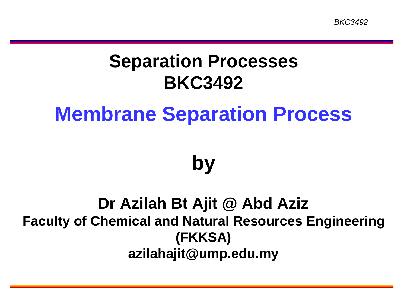#### **Separation Processes BKC3492**

#### **Membrane Separation Process**

#### **by**

#### **Dr Azilah Bt Ajit @ Abd Aziz Faculty of Chemical and Natural Resources Engineering (FKKSA) azilahajit@ump.edu.my**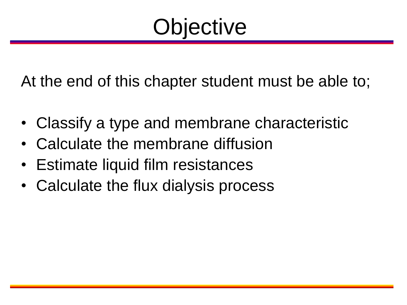#### **Objective**

At the end of this chapter student must be able to;

- Classify a type and membrane characteristic
- Calculate the membrane diffusion
- Estimate liquid film resistances
- Calculate the flux dialysis process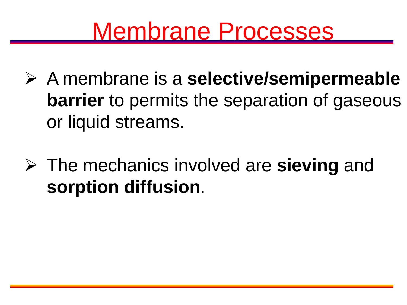#### Membrane Processes

- A membrane is a **selective/semipermeable barrier** to permits the separation of gaseous or liquid streams.
- The mechanics involved are **sieving** and **sorption diffusion**.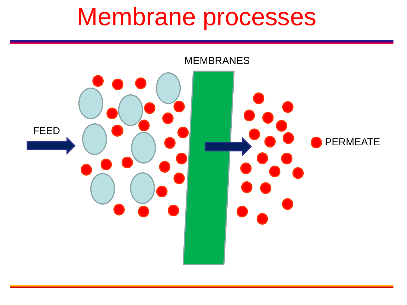#### Membrane processes

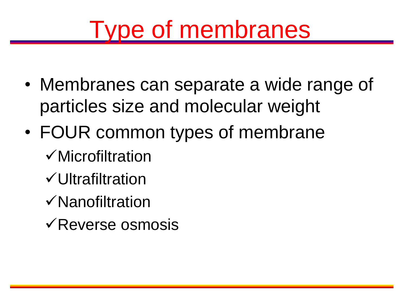### Type of membranes

- Membranes can separate a wide range of particles size and molecular weight
- FOUR common types of membrane
	- Microfiltration
	- Ultrafiltration
	- Nanofiltration
	- $\sqrt{\text{Reverse osmosis}}$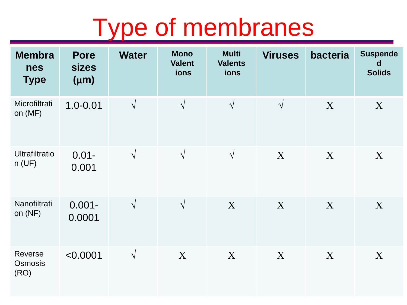#### Type of membranes

| <b>Membra</b><br><b>nes</b><br><b>Type</b> | <b>Pore</b><br><b>sizes</b><br>$(\mu m)$ | <b>Water</b> | <b>Mono</b><br><b>Valent</b><br>ions | <b>Multi</b><br><b>Valents</b><br>ions | <b>Viruses</b> | bacteria | <b>Suspende</b><br>d<br><b>Solids</b> |
|--------------------------------------------|------------------------------------------|--------------|--------------------------------------|----------------------------------------|----------------|----------|---------------------------------------|
| Microfiltrati<br>on (MF)                   | $1.0 - 0.01$                             | $\sqrt{ }$   | $\sqrt{ }$                           | $\sqrt{ }$                             | $\sqrt{ }$     | X        | X                                     |
| <b>Ultrafiltratio</b><br>n(UF)             | $0.01 -$<br>0.001                        | $\sqrt{ }$   | $\sqrt{ }$                           | $\sqrt{ }$                             | X              | X        | X                                     |
| Nanofiltrati<br>on $(NF)$                  | $0.001 -$<br>0.0001                      | $\sqrt{ }$   | $\sqrt{ }$                           | X                                      | X              | X        | X                                     |
| Reverse<br>Osmosis<br>(RO)                 | < 0.0001                                 | $\sqrt{ }$   | X                                    | X                                      | X              | X        | X                                     |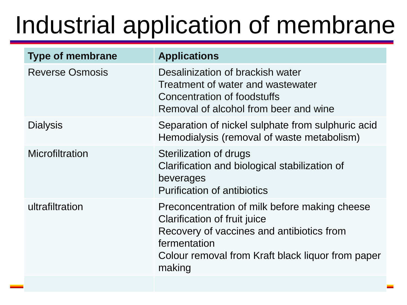# Industrial application of membrane

| <b>Type of membrane</b> | <b>Applications</b>                                                                                                                                                                                       |
|-------------------------|-----------------------------------------------------------------------------------------------------------------------------------------------------------------------------------------------------------|
| <b>Reverse Osmosis</b>  | Desalinization of brackish water<br>Treatment of water and wastewater<br>Concentration of foodstuffs<br>Removal of alcohol from beer and wine                                                             |
| <b>Dialysis</b>         | Separation of nickel sulphate from sulphuric acid<br>Hemodialysis (removal of waste metabolism)                                                                                                           |
| Microfiltration         | Sterilization of drugs<br>Clarification and biological stabilization of<br>beverages<br><b>Purification of antibiotics</b>                                                                                |
| ultrafiltration         | Preconcentration of milk before making cheese<br>Clarification of fruit juice<br>Recovery of vaccines and antibiotics from<br>fermentation<br>Colour removal from Kraft black liquor from paper<br>making |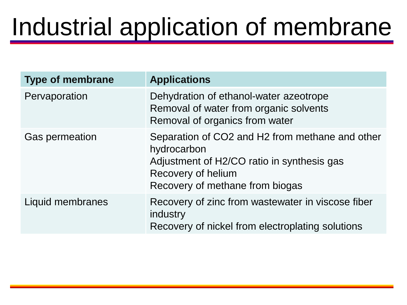## Industrial application of membrane

| <b>Type of membrane</b> | <b>Applications</b>                                                                                                                                                   |
|-------------------------|-----------------------------------------------------------------------------------------------------------------------------------------------------------------------|
| Pervaporation           | Dehydration of ethanol-water azeotrope<br>Removal of water from organic solvents<br>Removal of organics from water                                                    |
| <b>Gas permeation</b>   | Separation of CO2 and H2 from methane and other<br>hydrocarbon<br>Adjustment of H2/CO ratio in synthesis gas<br>Recovery of helium<br>Recovery of methane from biogas |
| Liquid membranes        | Recovery of zinc from wastewater in viscose fiber<br>industry<br>Recovery of nickel from electroplating solutions                                                     |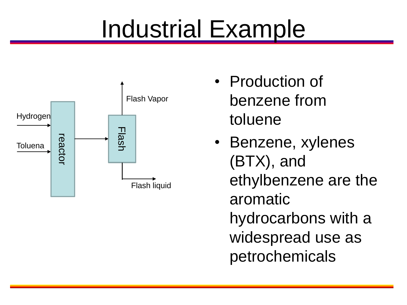## Industrial Example



- Production of benzene from toluene
- Benzene, xylenes (BTX), and ethylbenzene are the aromatic hydrocarbons with a widespread use as petrochemicals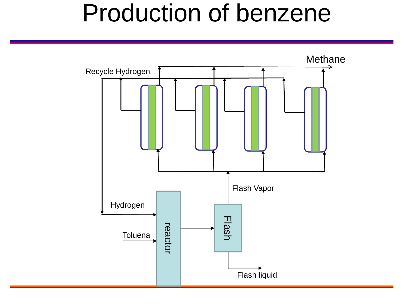#### Production of benzene

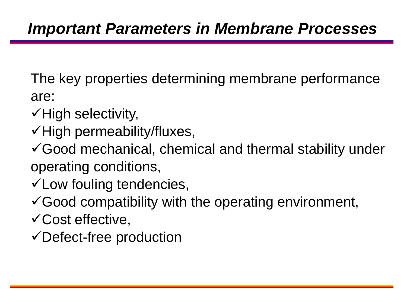The key properties determining membrane performance are:

- $\checkmark$  High selectivity,
- $\checkmark$ High permeability/fluxes,

Good mechanical, chemical and thermal stability under operating conditions,

- $\checkmark$  Low fouling tendencies,
- $\checkmark$  Good compatibility with the operating environment,
- Cost effective,
- Defect-free production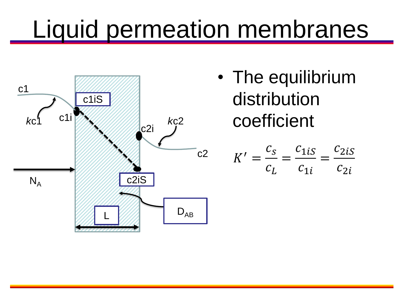## Liquid permeation membranes



• The equilibrium distribution  $\int_{c2i}$   $\kappa c^2$  coefficient

$$
K' = \frac{c_s}{c_L} = \frac{c_{1iS}}{c_{1i}} = \frac{c_{2iS}}{c_{2i}}
$$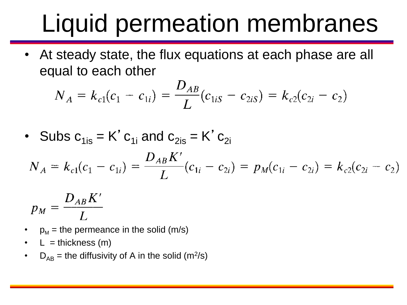# Liquid permeation membranes

• At steady state, the flux equations at each phase are all equal to each other

$$
N_A = k_{c1}(c_1 - c_{1i}) = \frac{D_{AB}}{L}(c_{1iS} - c_{2iS}) = k_{c2}(c_{2i} - c_2)
$$

• Subs 
$$
c_{1is} = K' c_{1i}
$$
 and  $c_{2is} = K' c_{2i}$   
\n
$$
N_A = k_{c1}(c_1 - c_{1i}) = \frac{D_{AB} K'}{L} (c_{1i} - c_{2i}) = p_M(c_{1i} - c_{2i}) = k_{c2}(c_{2i} - c_{2i})
$$

$$
p_M = \frac{D_{AB}K'}{L}
$$

- $p_M$  = the permeance in the solid (m/s)
- $L =$  thickness (m)
- $D_{AB}$  = the diffusivity of A in the solid (m<sup>2</sup>/s)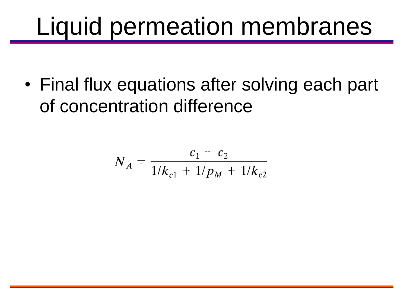### Liquid permeation membranes

• Final flux equations after solving each part of concentration difference

$$
N_A = \frac{c_1 - c_2}{1/k_{c1} + 1/p_M + 1/k_{c2}}
$$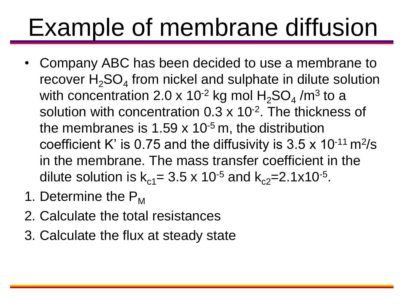# Example of membrane diffusion

- Company ABC has been decided to use a membrane to recover  $H_2$ SO<sub>4</sub> from nickel and sulphate in dilute solution with concentration 2.0 x 10<sup>-2</sup> kg mol  $\rm H_2SO_4$  /m $^3$  to a solution with concentration 0.3 x 10<sup>-2</sup>. The thickness of the membranes is  $1.59 \times 10^{-5}$  m, the distribution coefficient K' is 0.75 and the diffusivity is  $3.5 \times 10^{-11}$  m<sup>2</sup>/s in the membrane. The mass transfer coefficient in the dilute solution is  $k_{c1} = 3.5 \times 10^{-5}$  and  $k_{c2} = 2.1 \times 10^{-5}$ .
- 1. Determine the  $P_M$
- 2. Calculate the total resistances
- 3. Calculate the flux at steady state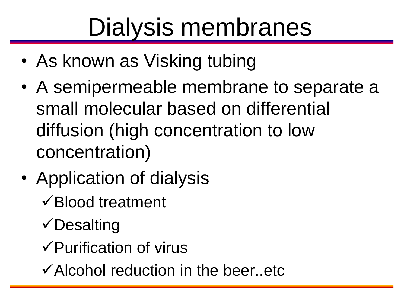# Dialysis membranes

- As known as Visking tubing
- A semipermeable membrane to separate a small molecular based on differential diffusion (high concentration to low concentration)
- Application of dialysis Blood treatment
	- $\checkmark$  Desalting
	- $\checkmark$  Purification of virus
	- $\checkmark$  Alcohol reduction in the beer..etc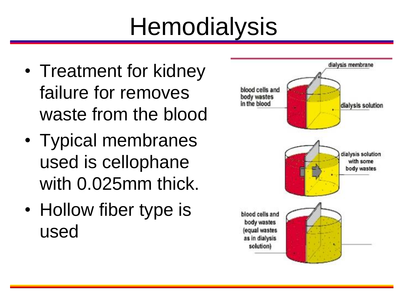# **Hemodialysis**

- Treatment for kidney failure for removes waste from the blood
- Typical membranes used is cellophane with 0.025mm thick.
- Hollow fiber type is used